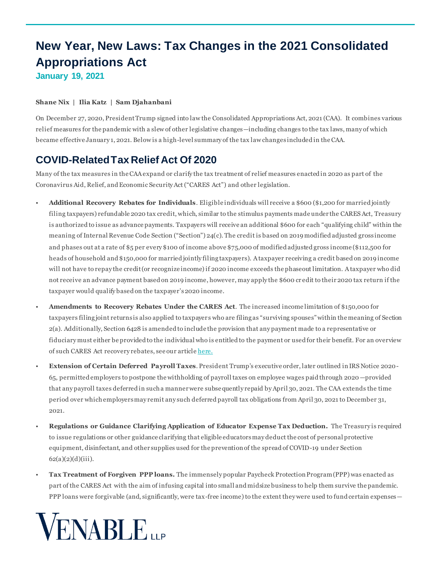# **New Year, New Laws: Tax Changes in the 2021 Consolidated Appropriations Act January 19, 2021**

#### **[Shane Nix](https://www.venable.com/professionals/n/shane-p-nix) | [Ilia Katz](https://www.venable.com/professionals/k/ilia-katz) | Sam Djahanbani**

On December 27, 2020, President Trump signed into law the Consolidated Appropriations Act, 2021 (CAA). It combines various relief measures for the pandemic with a slew of other legislative changes—including changes to the tax laws, many of which became effective January 1, 2021. Below is a high-level summary of the tax law changes included in the CAA.

### **COVID-Related Tax Relief Act Of 2020**

Many of the tax measures in the CAA expand or clarify the tax treatment of relief measures enacted in 2020 as part of the Coronavirus Aid, Relief, and Economic Security Act ("CARES Act") and other legislation.

- **Additional Recovery Rebates for Individuals**. Eligible individuals will receive a \$600 (\$1,200 for married jointly filing taxpayers) refundable 2020 tax credit, which, similar to the stimulus payments made under the CARES Act, Treasury is authorized to issue as advance payments. Taxpayers will receive an additional \$600 for each "qualifying child" within the meaning of Internal Revenue Code Section ("Section") 24(c). The credit is based on 2019 modified adjusted gross income and phases out at a rate of \$5 per every \$100 of income above \$75,000 of modified adjusted gross income (\$112,500 for heads of household and \$150,000 for married jointly filing taxpayers). A taxpayer receiving a credit based on 2019 income will not have to repay the credit (or recognize income) if 2020 income exceeds the phaseout limitation. A taxpayer who did not receive an advance payment based on 2019 income, however, may apply the \$600 cr edit to their 2020 tax return if the taxpayer would qualify based on the taxpayer's 2020 income.
- **Amendments to Recovery Rebates Under the CARES Act**. The increased income limitation of \$150,000 for taxpayers filing joint returns is also applied to taxpayer s who are filing as "surviving spouses" within the meaning of Section 2(a). Additionally, Section 6428 is amended to include the provision that any payment made to a representative or fiduciary must either be provided to the individual who is entitled to the payment or used for their benefit. For an overview of such CARES Act recovery rebates, see our articl[e here.](https://www.venable.com/insights/publications/2020/03/venable-wealth-planning-key-provisions)
- **Extension of Certain Deferred Payroll Taxes**. President Trump's executive order, later outlined in IRS Notice 2020- 65, permitted employers to postpone the withholding of payroll taxes on employee wages paid through 2020 —provided that any payroll taxes deferred in such a manner were subsequently repaid by April 30, 2021. The CAA extends the time period over which employers may remit any such deferred payroll tax obligations from April 30, 2021 to December 31, 2021.
- **Regulations or Guidance Clarifying Application of Educator Expense Tax Deduction.** The Treasury is required to issue regulations or other guidance clarifying that eligible educators may deduct the cost of personal protective equipment, disinfectant, and other supplies used for the prevention of the spread of COVID-19 under Section  $62(a)(2)(d)(iii)$ .
- **Tax Treatment of Forgiven PPP loans.** The immensely popular Paycheck Protection Program (PPP) was enacted as part of the CARES Act with the aim of infusing capital into small and midsize business to help them survive the pandemic. PPP loans were forgivable (and, significantly, were tax-free income) to the extent they were used to fund certain expenses—

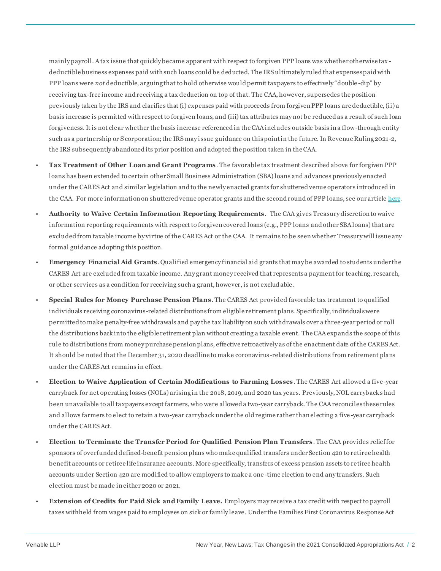mainly payroll. A tax issue that quickly became apparent with respect to forgiven PPP loans was whether otherwise tax deductible business expenses paid with such loans could be deducted. The IRS ultimately ruled that expenses paid with PPP loans were *not* deductible, arguing that to hold otherwise would permit taxpayers to effectively "double -dip" by receiving tax-free income and receiving a tax deduction on top of that. The CAA, however, supersedes the position previously taken by the IRS and clarifies that (i) expenses paid with proceeds from forgiven PPP loans are deductible, (ii) a basis increase is permitted with respect to forgiven loans, and (iii) tax attributes may not be reduced as a result of such loan forgiveness. It is not clear whether the basis increase referenced in the CAA includes outside basis in a flow-through entity such as a partnership or S corporation; the IRS may issue guidance on this point in the future. In Revenue Ruling 2021-2, the IRS subsequently abandoned its prior position and adopted the position taken in the CAA.

- **Tax Treatment of Other Loan and Grant Programs**. The favorable tax treatment described above for forgiven PPP loans has been extended to certain other Small Business Administration (SBA) loans and advances previously enacted under the CARES Act and similar legislation and to the newly enacted grants for shuttered venue operators introduced in the CAA. For more information on shuttered venue operator grants and the second round of PPP loans, see our articl[e here.](https://www.closeupsblog.com/2021/01/new-covid-19-relief-bill-reboots-paycheck-protection-program-and-provides-grants-to-hardest-hit-businesses-in-entertainment/#more-2984)
- **Authority to Waive Certain Information Reporting Requirements**. The CAA gives Treasury discretion to waive information reporting requirements with respect to forgiven covered loans (e.g., PPP loans and other SBA loans) that are excluded from taxable income by virtue of the CARES Act or the CAA. It remains to be seen whether Treasury will issue any formal guidance adopting this position.
- **Emergency Financial Aid Grants**. Qualified emergency financial aid grants that may be awarded to students under the CARES Act are excluded from taxable income. Any grant money received that represents a payment for teaching, research, or other services as a condition for receiving such a grant, however, is not exclud able.
- **Special Rules for Money Purchase Pension Plans**. The CARES Act provided favorable tax treatment to qualified individuals receiving coronavirus-related distributions from eligible retirement plans. Specifically, individuals were permitted to make penalty-free withdrawals and pay the tax liability on such withdrawals over a three-year period or roll the distributions back into the eligible retirement plan without creating a taxable event. The CAA expands the scope of this rule to distributions from money purchase pension plans, effective retroactively as of the enactment date of the CARES Act. It should be noted that the December 31, 2020 deadline to make coronavirus -related distributions from retirement plans under the CARES Act remains in effect.
- **Election to Waive Application of Certain Modifications to Farming Losses**. The CARES Act allowed a five-year carryback for net operating losses (NOLs) arising in the 2018, 2019, and 2020 tax years. Previously, NOL carrybacks had been unavailable to all taxpayers except farmers, who were allowed a two-year carryback. The CAA reconciles these rules and allows farmers to elect to retain a two-year carryback under the old regime rather than electing a five -year carryback under the CARES Act.
- **Election to Terminate the Transfer Period for Qualified Pension Plan Transfers**. The CAA provides relief for sponsors of overfunded defined-benefit pension plans who make qualified transfers under Section 420 to retiree health benefit accounts or retiree life insurance accounts. More specifically, transfers of excess pension assets to retiree health accounts under Section 420 are modified to allow employers to make a one -time election to end any transfers. Such election must be made in either 2020 or 2021.
- **Extension of Credits for Paid Sick and Family Leave.** Employers may receive a tax credit with respect to payroll taxes withheld from wages paid to employees on sick or family leave. Under the Families First Coronavirus Response Act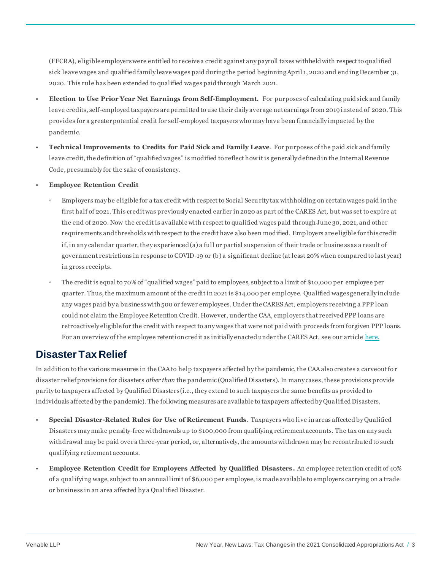(FFCRA), eligible employers were entitled to receive a credit against any payroll taxes withheld with respect to qualified sick leave wages and qualified family leave wages paid during the period beginning April 1, 2020 and ending December 31, 2020. This rule has been extended to qualified wages paid through March 2021.

- **Election to Use Prior Year Net Earnings from Self-Employment.** For purposes of calculating paid sick and family leave credits, self-employed taxpayers are permitted to use their daily average net earnings from 2019 instead of 2020. This provides for a greater potential credit for self-employed taxpayers who may have been financially impacted by the pandemic.
- **Technical Improvements to Credits for Paid Sick and Family Leave**. For purposes of the paid sick and family leave credit, the definition of "qualified wages" is modified to reflect how it is generally defined in the Internal Revenue Code, presumably for the sake of consistency.
- **Employee Retention Credit**
	- Employers may be eligible for a tax credit with respect to Social Secu rity tax withholding on certain wages paid in the first half of 2021. This credit was previously enacted earlier in 2020 as part of the CARES Act, but was set to expire at the end of 2020. Now the credit is available with respect to qualified wages paid through June 30, 2021, and other requirements and thresholds with respect to the credit have also been modified. Employers are eligible for this credit if, in any calendar quarter, they experienced (a) a full or partial suspension of their trade or busine ss as a result of government restrictions in response to COVID-19 or (b) a significant decline (at least 20% when compared to last year) in gross receipts.
	- The credit is equal to 70% of "qualified wages" paid to employees, subject to a limit of \$10,000 per employee per quarter. Thus, the maximum amount of the credit in 2021 is \$14,000 per employee. Qualified wages generally include any wages paid by a business with 500 or fewer employees. Under the CARES Act, employers receiving a PPP loan could not claim the Employee Retention Credit. However, under the CAA, employers that received PPP loans are retroactively eligible for the credit with respect to any wages that were not paid with proceeds from forgiven PPP loans. For an overview of the employee retention credit as initially enacted under the CARES Act, see our articl[e here.](https://www.closeupsblog.com/2020/04/not-entitled-to-a-paycheck-protection-program-loan-payroll-tax-relief-for-the-entertainment-industry-is-on-the-way-under-the-cares-act/)

## **Disaster Tax Relief**

In addition to the various measures in the CAA to help taxpayers affected by the pandemic, the CAA also creates a carveout fo r disaster relief provisions for disasters *other than* the pandemic (Qualified Disasters). In many cases, these provisions provide parity to taxpayers affected by Qualified Disasters (i.e., they extend to such taxpayers the same benefits as provided to individuals affected by the pandemic). The following measures are available to taxpayers affected by Qualified Disasters.

- **Special Disaster-Related Rules for Use of Retirement Funds**. Taxpayers who live in areas affected by Qualified Disasters may make penalty-free withdrawals up to \$100,000 from qualifying retirement accounts. The tax on any such withdrawal may be paid over a three-year period, or, alternatively, the amounts withdrawn may be recontributed to such qualifying retirement accounts.
- **Employee Retention Credit for Employers Affected by Qualified Disasters.** An employee retention credit of 40% of a qualifying wage, subject to an annual limit of \$6,000 per employee, is made available to employers carrying on a trade or business in an area affected by a Qualified Disaster.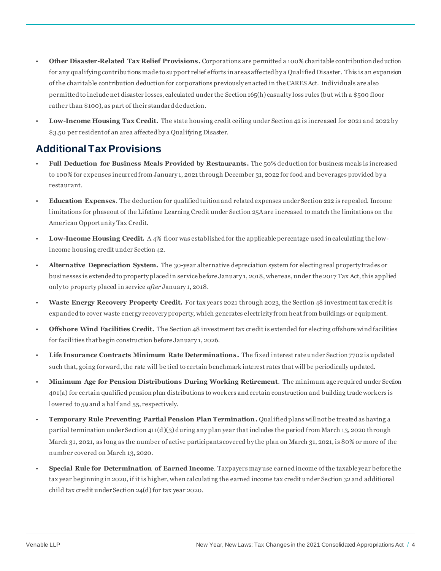- **Other Disaster-Related Tax Relief Provisions.** Corporations are permitted a 100% charitable contribution deduction for any qualifying contributions made to support relief efforts in areas affected by a Qualified Disaster. This is an expansion of the charitable contribution deduction for corporations previously enacted in the CARES Act. Individuals are also permitted to include net disaster losses, calculated under the Section 165(h) casualty loss rules (but with a \$500 floor rather than \$100), as part of their standard deduction.
- **Low-Income Housing Tax Credit.** The state housing credit ceiling under Section 42 is increased for 2021 and 2022 by \$3.50 per resident of an area affected by a Qualifying Disaster.

### **Additional Tax Provisions**

- **Full Deduction for Business Meals Provided by Restaurants.** The 50% deduction for business meals is increased to 100% for expenses incurred from January 1, 2021 through December 31, 2022 for food and beverages provided by a restaurant.
- **Education Expenses**. The deduction for qualified tuition and related expenses under Section 222 is repealed. Income limitations for phaseout of the Lifetime Learning Credit under Section 25A are increased to match the limitations on the American Opportunity Tax Credit.
- **Low-Income Housing Credit.** A 4% floor was established for the applicable percentage used in calculating the lowincome housing credit under Section 42.
- **Alternative Depreciation System.** The 30-year alternative depreciation system for electing real property trades or businesses is extended to property placed in service before January 1, 2018, whereas, under the 2017 Tax Act, this applied only to property placed in service *after* January 1, 2018.
- **Waste Energy Recovery Property Credit.** For tax years 2021 through 2023, the Section 48 investment tax credit is expanded to cover waste energy recovery property, which generates electricity from heat from buildings or equipment.
- **Offshore Wind Facilities Credit.** The Section 48 investment tax credit is extended for electing offshore wind facilities for facilities that begin construction before January 1, 2026.
- **Life Insurance Contracts Minimum Rate Determinations.** The fixed interest rate under Section 7702 is updated such that, going forward, the rate will be tied to certain benchmark interest rates that will be periodically updated.
- **Minimum Age for Pension Distributions During Working Retirement**. The minimum age required under Section 401(a) for certain qualified pension plan distributions to workers and certain construction and building trade workers is lowered to 59 and a half and 55, respectively.
- **Temporary Rule Preventing Partial Pension Plan Termination.** Qualified plans will not be treated as having a partial termination under Section 411(d)(3) during any plan year that includes the period from March 13, 2020 through March 31, 2021, as long as the number of active participants covered by the plan on March 31, 2021, is 80% or more of the number covered on March 13, 2020.
- **Special Rule for Determination of Earned Income**. Taxpayers may use earned income of the taxable year before the tax year beginning in 2020, if it is higher, when calculating the earned income tax credit under Section 32 and additional child tax credit under Section 24(d) for tax year 2020.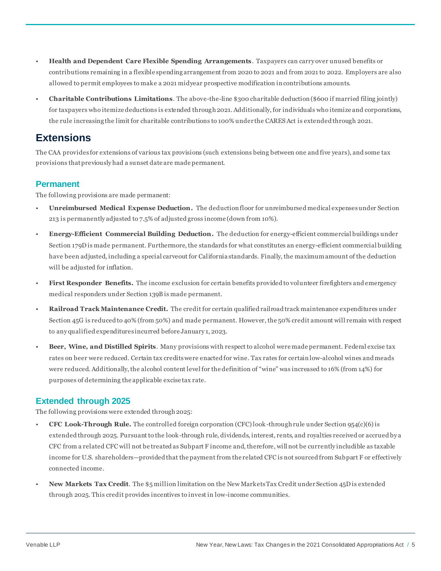- **Health and Dependent Care Flexible Spending Arrangements**. Taxpayers can carry over unused benefits or contributions remaining in a flexible spending arrangement from 2020 to 2021 and from 2021 to 2022. Employers are also allowed to permit employees to make a 2021 midyear prospective modification in contributions amounts.
- **Charitable Contributions Limitations**. The above-the-line \$300 charitable deduction (\$600 if married filing jointly) for taxpayers who itemize deductions is extended through 2021. Additionally, for individuals who itemize and corporations, the rule increasing the limit for charitable contributions to 100% under the CARES Act is extended through 2021.

## **Extensions**

The CAA provides for extensions of various tax provisions (such extensions being between one and five years), and some tax provisions that previously had a sunset date are made permanent.

#### **Permanent**

The following provisions are made permanent:

- **Unreimbursed Medical Expense Deduction.** The deduction floor for unreimbursed medical expenses under Section 213 is permanently adjusted to 7.5% of adjusted gross income (down from 10%).
- **Energy-Efficient Commercial Building Deduction.** The deduction for energy-efficient commercial buildings under Section 179D is made permanent. Furthermore, the standards for what constitutes an energy-efficient commercial building have been adjusted, including a special carveout for California standards. Finally, the maximum amount of the deduction will be adjusted for inflation.
- **First Responder Benefits.** The income exclusion for certain benefits provided to volunteer firefighters and emergency medical responders under Section 139B is made permanent.
- **Railroad Track Maintenance Credit.** The credit for certain qualified railroad track maintenance expenditures under Section 45G is reduced to 40% (from 50%) and made permanent. However, the 50% credit amount will remain with respect to any qualified expenditures incurred before January 1, 2023.
- **Beer, Wine, and Distilled Spirits**. Many provisions with respect to alcohol were made permanent. Federal excise tax rates on beer were reduced. Certain tax credits were enacted for wine. Tax rates for certain low-alcohol wines and meads were reduced. Additionally, the alcohol content level for the definition of "wine" was increased to 16% (from 14%) for purposes of determining the applicable excise tax rate.

### **Extended through 2025**

The following provisions were extended through 2025:

- **CFC Look-Through Rule.** The controlled foreign corporation (CFC) look -through rule under Section 954(c)(6) is extended through 2025. Pursuant to the look-through rule, dividends, interest, rents, and royalties received or accrued by a CFC from a related CFC will not be treated as Subpart F income and, therefore, will not be currently includible as taxable income for U.S. shareholders—provided that the payment from the related CFC is not sourced from Subpart F or effectively connected income.
- **New Markets Tax Credit**. The \$5 million limitation on the New Markets Tax Credit under Section 45D is extended through 2025. This credit provides incentives to invest in low-income communities.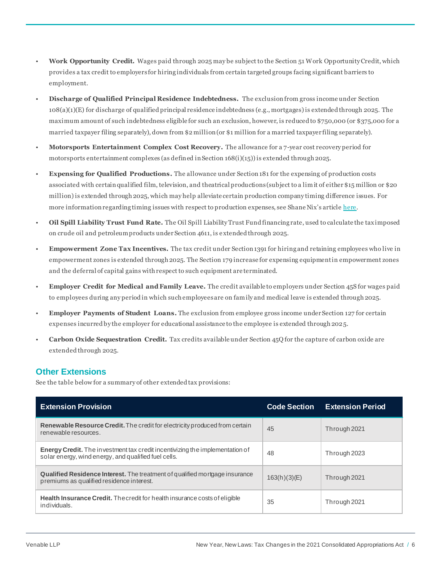- **Work Opportunity Credit.** Wages paid through 2025 may be subject to the Section 51 Work Opportunity Credit, which provides a tax credit to employers for hiring individuals from certain targeted groups facing significant barriers to employment.
- **Discharge of Qualified Principal Residence Indebtedness.** The exclusion from gross income under Section 108(a)(1)(E) for discharge of qualified principal residence indebtedness (e.g., mortgages) is extended through 2025. The maximum amount of such indebtedness eligible for such an exclusion, however, is reduced to \$750,000 (or \$375,000 for a married taxpayer filing separately), down from \$2 million (or \$1 million for a married taxpayer filing separately).
- **Motorsports Entertainment Complex Cost Recovery.** The allowance for a 7-year cost recovery period for motorsports entertainment complexes (as defined in Section 168(i)(15)) is extended through 2025.
- **Expensing for Qualified Productions.** The allowance under Section 181 for the expensing of production costs associated with certain qualified film, television, and theatrical productions (subject to a limit of either \$15 million or \$20 million) is extended through 2025, which may help alleviate certain production company timing difference issues. For more information regarding timing issues with respect to production expenses, see Shane Nix's article [here](https://lalawyer.advanced-pub.com/?issueID=3&pageID=41).
- **Oil Spill Liability Trust Fund Rate.** The Oil Spill Liability Trust Fund financing rate, used to calculate the tax imposed on crude oil and petroleum products under Section 4611, is e xtended through 2025.
- **Empowerment Zone Tax Incentives.** The tax credit under Section 1391 for hiring and retaining employees who live in empowerment zones is extended through 2025. The Section 179 increase for expensing equipment in empowerment zones and the deferral of capital gains with respect to such equipment are terminated.
- **Employer Credit for Medical and Family Leave.** The credit available to employers under Section 45S for wages paid to employees during any period in which such employees are on family and medical leave is extended through 2025.
- **Employer Payments of Student Loans.** The exclusion from employee gross income under Section 127 for certain expenses incurred by the employer for educational assistance to the employee is extended through 2025.
- **Carbon Oxide Sequestration Credit.** Tax credits available under Section 45Q for the capture of carbon oxide are extended through 2025.

#### **Other Extensions**

See the table below for a summary of other extended tax provisions:

| <b>Extension Provision</b>                                                                                                                  | <b>Code Section</b> | <b>Extension Period</b> |
|---------------------------------------------------------------------------------------------------------------------------------------------|---------------------|-------------------------|
| <b>Renewable Resource Credit.</b> The credit for electricity produced from certain<br>renewable resources.                                  | 45                  | Through 2021            |
| <b>Energy Credit.</b> The investment tax credit incentivizing the implementation of<br>solar energy, wind energy, and qualified fuel cells. | 48                  | Through 2023            |
| <b>Qualified Residence Interest.</b> The treatment of qualified mortgage insurance<br>premiums as qualified residence interest.             | $163(h)(3)$ (E)     | Through 2021            |
| <b>Health Insurance Credit.</b> The credit for health insurance costs of eligible<br>individuals.                                           | 35                  | Through 2021            |